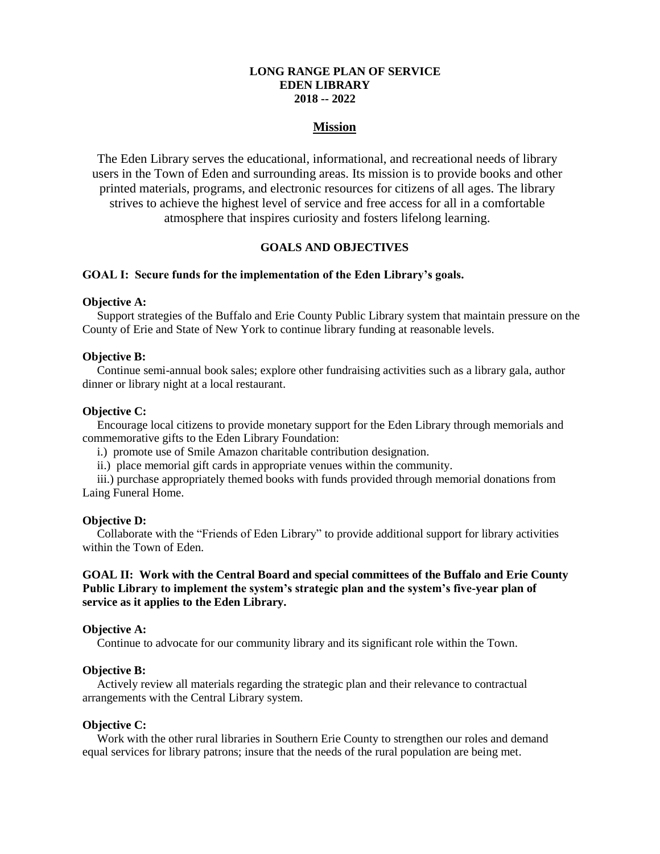# **LONG RANGE PLAN OF SERVICE EDEN LIBRARY 2018 -- 2022**

# **Mission**

The Eden Library serves the educational, informational, and recreational needs of library users in the Town of Eden and surrounding areas. Its mission is to provide books and other printed materials, programs, and electronic resources for citizens of all ages. The library strives to achieve the highest level of service and free access for all in a comfortable atmosphere that inspires curiosity and fosters lifelong learning.

# **GOALS AND OBJECTIVES**

### **GOAL I: Secure funds for the implementation of the Eden Library's goals.**

# **Objective A:**

Support strategies of the Buffalo and Erie County Public Library system that maintain pressure on the County of Erie and State of New York to continue library funding at reasonable levels.

#### **Objective B:**

Continue semi-annual book sales; explore other fundraising activities such as a library gala, author dinner or library night at a local restaurant.

#### **Objective C:**

Encourage local citizens to provide monetary support for the Eden Library through memorials and commemorative gifts to the Eden Library Foundation:

- i.) promote use of Smile Amazon charitable contribution designation.
- ii.) place memorial gift cards in appropriate venues within the community.

iii.) purchase appropriately themed books with funds provided through memorial donations from Laing Funeral Home.

#### **Objective D:**

Collaborate with the "Friends of Eden Library" to provide additional support for library activities within the Town of Eden.

# **GOAL II: Work with the Central Board and special committees of the Buffalo and Erie County Public Library to implement the system's strategic plan and the system's five-year plan of service as it applies to the Eden Library.**

### **Objective A:**

Continue to advocate for our community library and its significant role within the Town.

# **Objective B:**

Actively review all materials regarding the strategic plan and their relevance to contractual arrangements with the Central Library system.

#### **Objective C:**

Work with the other rural libraries in Southern Erie County to strengthen our roles and demand equal services for library patrons; insure that the needs of the rural population are being met.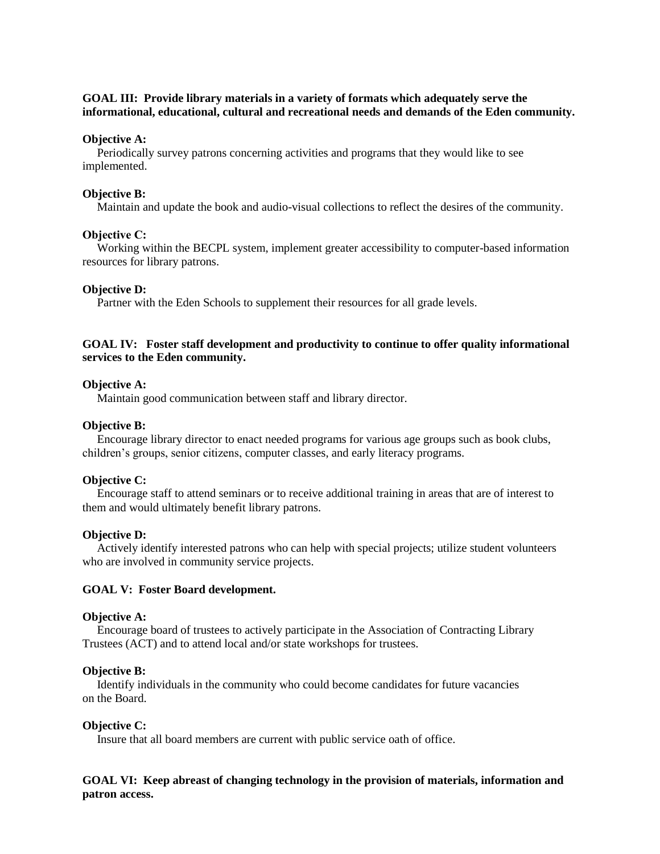# **GOAL III: Provide library materials in a variety of formats which adequately serve the informational, educational, cultural and recreational needs and demands of the Eden community.**

## **Objective A:**

Periodically survey patrons concerning activities and programs that they would like to see implemented.

### **Objective B:**

Maintain and update the book and audio-visual collections to reflect the desires of the community.

### **Objective C:**

Working within the BECPL system, implement greater accessibility to computer-based information resources for library patrons.

### **Objective D:**

Partner with the Eden Schools to supplement their resources for all grade levels.

# **GOAL IV: Foster staff development and productivity to continue to offer quality informational services to the Eden community.**

### **Objective A:**

Maintain good communication between staff and library director.

#### **Objective B:**

Encourage library director to enact needed programs for various age groups such as book clubs, children's groups, senior citizens, computer classes, and early literacy programs.

#### **Objective C:**

Encourage staff to attend seminars or to receive additional training in areas that are of interest to them and would ultimately benefit library patrons.

# **Objective D:**

Actively identify interested patrons who can help with special projects; utilize student volunteers who are involved in community service projects.

## **GOAL V: Foster Board development.**

### **Objective A:**

Encourage board of trustees to actively participate in the Association of Contracting Library Trustees (ACT) and to attend local and/or state workshops for trustees.

#### **Objective B:**

Identify individuals in the community who could become candidates for future vacancies on the Board.

#### **Objective C:**

Insure that all board members are current with public service oath of office.

# **GOAL VI: Keep abreast of changing technology in the provision of materials, information and patron access.**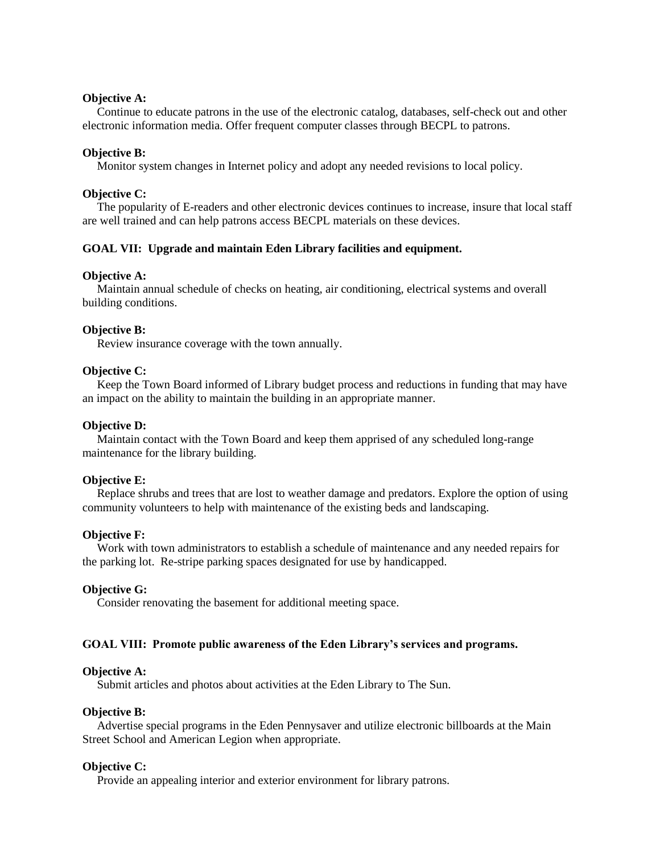# **Objective A:**

Continue to educate patrons in the use of the electronic catalog, databases, self-check out and other electronic information media. Offer frequent computer classes through BECPL to patrons.

# **Objective B:**

Monitor system changes in Internet policy and adopt any needed revisions to local policy.

### **Objective C:**

The popularity of E-readers and other electronic devices continues to increase, insure that local staff are well trained and can help patrons access BECPL materials on these devices.

# **GOAL VII: Upgrade and maintain Eden Library facilities and equipment.**

#### **Objective A:**

Maintain annual schedule of checks on heating, air conditioning, electrical systems and overall building conditions.

### **Objective B:**

Review insurance coverage with the town annually.

### **Objective C:**

Keep the Town Board informed of Library budget process and reductions in funding that may have an impact on the ability to maintain the building in an appropriate manner.

## **Objective D:**

Maintain contact with the Town Board and keep them apprised of any scheduled long-range maintenance for the library building.

#### **Objective E:**

Replace shrubs and trees that are lost to weather damage and predators. Explore the option of using community volunteers to help with maintenance of the existing beds and landscaping.

## **Objective F:**

Work with town administrators to establish a schedule of maintenance and any needed repairs for the parking lot. Re-stripe parking spaces designated for use by handicapped.

## **Objective G:**

Consider renovating the basement for additional meeting space.

# **GOAL VIII: Promote public awareness of the Eden Library's services and programs.**

### **Objective A:**

Submit articles and photos about activities at the Eden Library to The Sun.

# **Objective B:**

Advertise special programs in the Eden Pennysaver and utilize electronic billboards at the Main Street School and American Legion when appropriate.

### **Objective C:**

Provide an appealing interior and exterior environment for library patrons.